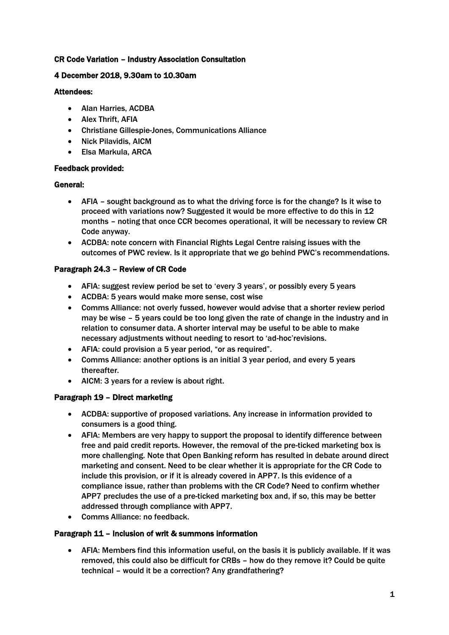## CR Code Variation – Industry Association Consultation

## 4 December 2018, 9.30am to 10.30am

## Attendees:

- Alan Harries, ACDBA
- Alex Thrift, AFIA
- Christiane Gillespie-Jones, Communications Alliance
- Nick Pilavidis, AICM
- Elsa Markula, ARCA

### Feedback provided:

### General:

- AFIA sought background as to what the driving force is for the change? Is it wise to proceed with variations now? Suggested it would be more effective to do this in 12 months – noting that once CCR becomes operational, it will be necessary to review CR Code anyway.
- ACDBA: note concern with Financial Rights Legal Centre raising issues with the outcomes of PWC review. Is it appropriate that we go behind PWC's recommendations.

# Paragraph 24.3 – Review of CR Code

- AFIA: suggest review period be set to 'every 3 years', or possibly every 5 years
- ACDBA: 5 years would make more sense, cost wise
- Comms Alliance: not overly fussed, however would advise that a shorter review period may be wise – 5 years could be too long given the rate of change in the industry and in relation to consumer data. A shorter interval may be useful to be able to make necessary adjustments without needing to resort to 'ad-hoc'revisions.
- AFIA: could provision a 5 year period, "or as required".
- Comms Alliance: another options is an initial 3 year period, and every 5 years thereafter.
- AICM: 3 years for a review is about right.

# Paragraph 19 – Direct marketing

- ACDBA: supportive of proposed variations. Any increase in information provided to consumers is a good thing.
- AFIA: Members are very happy to support the proposal to identify difference between free and paid credit reports. However, the removal of the pre-ticked marketing box is more challenging. Note that Open Banking reform has resulted in debate around direct marketing and consent. Need to be clear whether it is appropriate for the CR Code to include this provision, or if it is already covered in APP7. Is this evidence of a compliance issue, rather than problems with the CR Code? Need to confirm whether APP7 precludes the use of a pre-ticked marketing box and, if so, this may be better addressed through compliance with APP7.
- Comms Alliance: no feedback.

### Paragraph 11 – Inclusion of writ & summons information

• AFIA: Members find this information useful, on the basis it is publicly available. If it was removed, this could also be difficult for CRBs – how do they remove it? Could be quite technical – would it be a correction? Any grandfathering?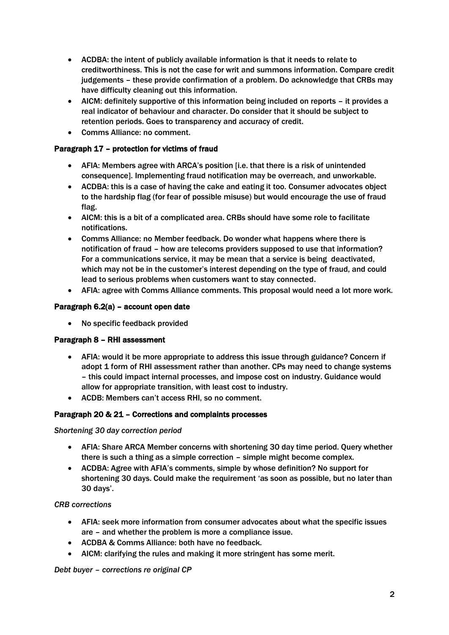- ACDBA: the intent of publicly available information is that it needs to relate to creditworthiness. This is not the case for writ and summons information. Compare credit judgements – these provide confirmation of a problem. Do acknowledge that CRBs may have difficulty cleaning out this information.
- AICM: definitely supportive of this information being included on reports it provides a real indicator of behaviour and character. Do consider that it should be subject to retention periods. Goes to transparency and accuracy of credit.
- Comms Alliance: no comment.

# Paragraph 17 – protection for victims of fraud

- AFIA: Members agree with ARCA's position [i.e. that there is a risk of unintended consequence]. Implementing fraud notification may be overreach, and unworkable.
- ACDBA: this is a case of having the cake and eating it too. Consumer advocates object to the hardship flag (for fear of possible misuse) but would encourage the use of fraud flag.
- AICM: this is a bit of a complicated area. CRBs should have some role to facilitate notifications.
- Comms Alliance: no Member feedback. Do wonder what happens where there is notification of fraud – how are telecoms providers supposed to use that information? For a communications service, it may be mean that a service is being deactivated, which may not be in the customer's interest depending on the type of fraud, and could lead to serious problems when customers want to stay connected.
- AFIA: agree with Comms Alliance comments. This proposal would need a lot more work.

# Paragraph 6.2(a) – account open date

• No specific feedback provided

### Paragraph 8 – RHI assessment

- AFIA: would it be more appropriate to address this issue through guidance? Concern if adopt 1 form of RHI assessment rather than another. CPs may need to change systems – this could impact internal processes, and impose cost on industry. Guidance would allow for appropriate transition, with least cost to industry.
- ACDB: Members can't access RHI, so no comment.

### Paragraph 20 & 21 – Corrections and complaints processes

### *Shortening 30 day correction period*

- AFIA: Share ARCA Member concerns with shortening 30 day time period. Query whether there is such a thing as a simple correction – simple might become complex.
- ACDBA: Agree with AFIA's comments, simple by whose definition? No support for shortening 30 days. Could make the requirement 'as soon as possible, but no later than 30 days'.

### *CRB corrections*

- AFIA: seek more information from consumer advocates about what the specific issues are – and whether the problem is more a compliance issue.
- ACDBA & Comms Alliance: both have no feedback.
- AICM: clarifying the rules and making it more stringent has some merit.

### *Debt buyer – corrections re original CP*